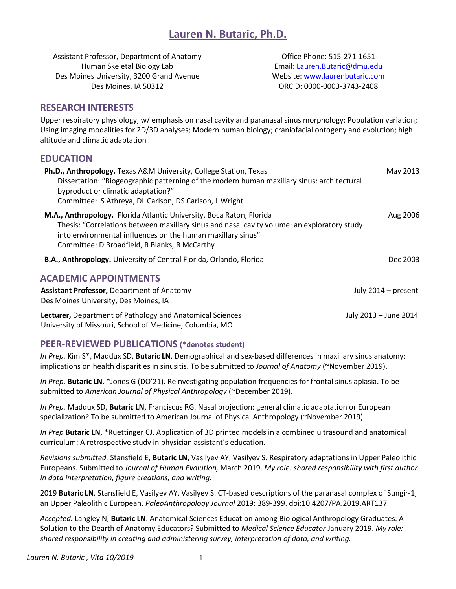Assistant Professor, Department of Anatomy Human Skeletal Biology Lab Des Moines University, 3200 Grand Avenue Des Moines, IA 50312

Office Phone: 515-271-1651 Email[: Lauren.Butaric@dmu.edu](mailto:Lauren.Butaric@dmu.edu) Website: [www.laurenbutaric.com](http://www.laurenbutaric.com/) ORCiD: 0000-0003-3743-2408

#### **RESEARCH INTERESTS**

Upper respiratory physiology, w/ emphasis on nasal cavity and paranasal sinus morphology; Population variation; Using imaging modalities for 2D/3D analyses; Modern human biology; craniofacial ontogeny and evolution; high altitude and climatic adaptation

### **EDUCATION**

| Ph.D., Anthropology. Texas A&M University, College Station, Texas<br>Dissertation: "Biogeographic patterning of the modern human maxillary sinus: architectural<br>byproduct or climatic adaptation?"<br>Committee: S Athreya, DL Carlson, DS Carlson, L Wright                     | May 2013              |
|-------------------------------------------------------------------------------------------------------------------------------------------------------------------------------------------------------------------------------------------------------------------------------------|-----------------------|
| M.A., Anthropology. Florida Atlantic University, Boca Raton, Florida<br>Thesis: "Correlations between maxillary sinus and nasal cavity volume: an exploratory study<br>into environmental influences on the human maxillary sinus"<br>Committee: D Broadfield, R Blanks, R McCarthy | Aug 2006              |
| B.A., Anthropology. University of Central Florida, Orlando, Florida                                                                                                                                                                                                                 | Dec 2003              |
| <b>ACADEMIC APPOINTMENTS</b>                                                                                                                                                                                                                                                        |                       |
| <b>Assistant Professor, Department of Anatomy</b><br>Des Moines University, Des Moines, IA                                                                                                                                                                                          | July 2014 - present   |
| Lecturer, Department of Pathology and Anatomical Sciences<br>University of Missouri, School of Medicine, Columbia, MO                                                                                                                                                               | July 2013 - June 2014 |

# **PEER-REVIEWED PUBLICATIONS (\*denotes student)**

*In Prep.* Kim S\*, Maddux SD, **Butaric LN**. Demographical and sex-based differences in maxillary sinus anatomy: implications on health disparities in sinusitis. To be submitted to *Journal of Anatomy* (~November 2019).

*In Prep.* **Butaric LN**, \*Jones G (DO'21). Reinvestigating population frequencies for frontal sinus aplasia. To be submitted to *American Journal of Physical Anthropology* (~December 2019).

*In Prep.* Maddux SD, **Butaric LN**, Franciscus RG. Nasal projection: general climatic adaptation or European specialization? To be submitted to American Journal of Physical Anthropology (~November 2019).

*In Prep* **Butaric LN**, \*Ruettinger CJ. Application of 3D printed models in a combined ultrasound and anatomical curriculum: A retrospective study in physician assistant's education.

*Revisions submitted.* Stansfield E, **Butaric LN**, Vasilyev AY, Vasilyev S. Respiratory adaptations in Upper Paleolithic Europeans. Submitted to *Journal of Human Evolution,* March 2019. *My role: shared responsibility with first author in data interpretation, figure creations, and writing.*

2019 **Butaric LN**, Stansfield E, Vasilyev AY, Vasilyev S. CT-based descriptions of the paranasal complex of Sungir-1, an Upper Paleolithic European. *PaleoAnthropology Journal* 2019: 389-399. doi:10.4207/PA.2019.ART137

*Accepted.* Langley N, **Butaric LN**. Anatomical Sciences Education among Biological Anthropology Graduates: A Solution to the Dearth of Anatomy Educators? Submitted to *Medical Science Educator* January 2019. *My role: shared responsibility in creating and administering survey, interpretation of data, and writing.*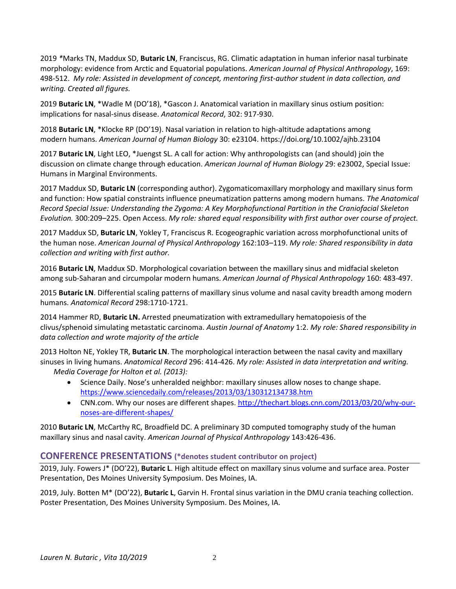2019 *\**Marks TN, Maddux SD, **Butaric LN**, Franciscus, RG. Climatic adaptation in human inferior nasal turbinate morphology: evidence from Arctic and Equatorial populations. *American Journal of Physical Anthropology*, 169: 498-512. *My role: Assisted in development of concept, mentoring first-author student in data collection, and writing. Created all figures.*

2019 **Butaric LN**, \*Wadle M (DO'18), \*Gascon J. Anatomical variation in maxillary sinus ostium position: implications for nasal-sinus disease. *Anatomical Record*, 302: 917-930.

2018 **Butaric LN**, \*Klocke RP (DO'19). Nasal variation in relation to high-altitude adaptations among modern humans. *American Journal of Human Biology* 30: e23104. https://doi.org/10.1002/ajhb.23104

2017 **Butaric LN**, Light LEO, \*Juengst SL. A call for action: Why anthropologists can (and should) join the discussion on climate change through education. *American Journal of Human Biology* 29: e23002, Special Issue: Humans in Marginal Environments.

2017 Maddux SD, **Butaric LN** (corresponding author). Zygomaticomaxillary morphology and maxillary sinus form and function: How spatial constraints influence pneumatization patterns among modern humans. *The Anatomical Record Special Issue: Understanding the Zygoma: A Key Morphofunctional Partition in the Craniofacial Skeleton Evolution.* 300:209–225. Open Access. *My role: shared equal responsibility with first author over course of project.*

2017 Maddux SD, **Butaric LN**, Yokley T, Franciscus R. Ecogeographic variation across morphofunctional units of the human nose. *American Journal of Physical Anthropology* 162:103–119. *My role: Shared responsibility in data collection and writing with first author.*

2016 **Butaric LN**, Maddux SD. Morphological covariation between the maxillary sinus and midfacial skeleton among sub-Saharan and circumpolar modern humans. *American Journal of Physical Anthropology* 160: 483-497.

2015 **Butaric LN**. Differential scaling patterns of maxillary sinus volume and nasal cavity breadth among modern humans. *Anatomical Record* 298:1710-1721.

2014 Hammer RD, **Butaric LN.** Arrested pneumatization with extramedullary hematopoiesis of the clivus/sphenoid simulating metastatic carcinoma. *Austin Journal of Anatomy* 1:2. *My role: Shared responsibility in data collection and wrote majority of the article*

2013 Holton NE, Yokley TR, **Butaric LN**. The morphological interaction between the nasal cavity and maxillary sinuses in living humans. *Anatomical Record* 296: 414-426. *My role: Assisted in data interpretation and writing. Media Coverage for Holton et al. (2013):* 

- Science Daily. Nose's unheralded neighbor: maxillary sinuses allow noses to change shape. <https://www.sciencedaily.com/releases/2013/03/130312134738.htm>
- CNN.com. Why our noses are different shapes[. http://thechart.blogs.cnn.com/2013/03/20/why-our](http://thechart.blogs.cnn.com/2013/03/20/why-our-noses-are-different-shapes/)[noses-are-different-shapes/](http://thechart.blogs.cnn.com/2013/03/20/why-our-noses-are-different-shapes/)

2010 **Butaric LN**, McCarthy RC, Broadfield DC. A preliminary 3D computed tomography study of the human maxillary sinus and nasal cavity. *American Journal of Physical Anthropology* 143:426-436.

### **CONFERENCE PRESENTATIONS (\*denotes student contributor on project)**

2019, July. Fowers J\* (DO'22), **Butaric L**. High altitude effect on maxillary sinus volume and surface area. Poster Presentation, Des Moines University Symposium. Des Moines, IA.

2019, July. Botten M\* (DO'22), **Butaric L**, Garvin H. Frontal sinus variation in the DMU crania teaching collection. Poster Presentation, Des Moines University Symposium. Des Moines, IA.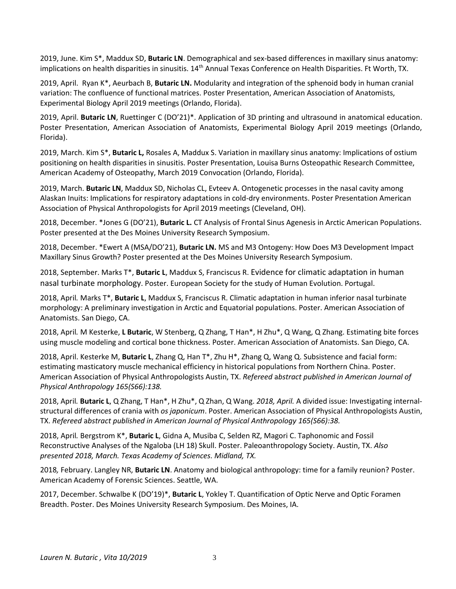2019, June. Kim S\*, Maddux SD, **Butaric LN**. Demographical and sex-based differences in maxillary sinus anatomy: implications on health disparities in sinusitis. 14<sup>th</sup> Annual Texas Conference on Health Disparities. Ft Worth, TX.

2019, April. Ryan K\*, Aeurbach B, **Butaric LN.** Modularity and integration of the sphenoid body in human cranial variation: The confluence of functional matrices. Poster Presentation, American Association of Anatomists, Experimental Biology April 2019 meetings (Orlando, Florida).

2019, April. **Butaric LN**, Ruettinger C (DO'21)\*. Application of 3D printing and ultrasound in anatomical education. Poster Presentation, American Association of Anatomists, Experimental Biology April 2019 meetings (Orlando, Florida).

2019, March. Kim S\*, **Butaric L,** Rosales A, Maddux S. Variation in maxillary sinus anatomy: Implications of ostium positioning on health disparities in sinusitis. Poster Presentation, Louisa Burns Osteopathic Research Committee, American Academy of Osteopathy, March 2019 Convocation (Orlando, Florida).

2019, March. **Butaric LN**, Maddux SD, Nicholas CL, Evteev A. Ontogenetic processes in the nasal cavity among Alaskan Inuits: Implications for respiratory adaptations in cold-dry environments. Poster Presentation American Association of Physical Anthropologists for April 2019 meetings (Cleveland, OH).

2018, December. \*Jones G (DO'21), **Butaric L.** CT Analysis of Frontal Sinus Agenesis in Arctic American Populations. Poster presented at the Des Moines University Research Symposium.

2018, December. \*Ewert A (MSA/DO'21), **Butaric LN.** MS and M3 Ontogeny: How Does M3 Development Impact Maxillary Sinus Growth? Poster presented at the Des Moines University Research Symposium.

2018, September. Marks T\*, **Butaric L**, Maddux S, Franciscus R. Evidence for climatic adaptation in human nasal turbinate morphology. Poster. European Society for the study of Human Evolution. Portugal.

2018, April*.* Marks T\*, **Butaric L**, Maddux S, Franciscus R. Climatic adaptation in human inferior nasal turbinate morphology: A preliminary investigation in Arctic and Equatorial populations. Poster. American Association of Anatomists. San Diego, CA.

2018, April*.* M Kesterke, **L Butaric**, W Stenberg, Q Zhang, T Han\*, H Zhu\*, Q Wang, Q Zhang. Estimating bite forces using muscle modeling and cortical bone thickness. Poster. American Association of Anatomists. San Diego, CA.

2018, April. Kesterke M, **Butaric L**, Zhang Q, Han T\*, Zhu H\*, Zhang Q, Wang Q. Subsistence and facial form: estimating masticatory muscle mechanical efficiency in historical populations from Northern China. Poster. American Association of Physical Anthropologists Austin, TX. *Refereed* a*bstract published in American Journal of Physical Anthropology 165(S66):138.*

2018, April*.* **Butaric L**, Q Zhang, T Han\*, H Zhu\*, Q Zhan, Q Wang. *2018, April.* A divided issue: Investigating internalstructural differences of crania with *os japonicum*. Poster. American Association of Physical Anthropologists Austin, TX. *Refereed* a*bstract published in American Journal of Physical Anthropology 165(S66):38.*

2018, April*.* Bergstrom K\*, **Butaric L**, Gidna A, Musiba C, Selden RZ, Magori C. Taphonomic and Fossil Reconstructive Analyses of the Ngaloba (LH 18) Skull. Poster. Paleoanthropology Society. Austin, TX. *Also presented 2018, March. Texas Academy of Sciences. Midland, TX.*

2018*,* February. Langley NR, **Butaric LN**. Anatomy and biological anthropology: time for a family reunion? Poster. American Academy of Forensic Sciences. Seattle, WA.

2017, December. Schwalbe K (DO'19)\*, **Butaric L**, Yokley T. Quantification of Optic Nerve and Optic Foramen Breadth. Poster. Des Moines University Research Symposium. Des Moines, IA.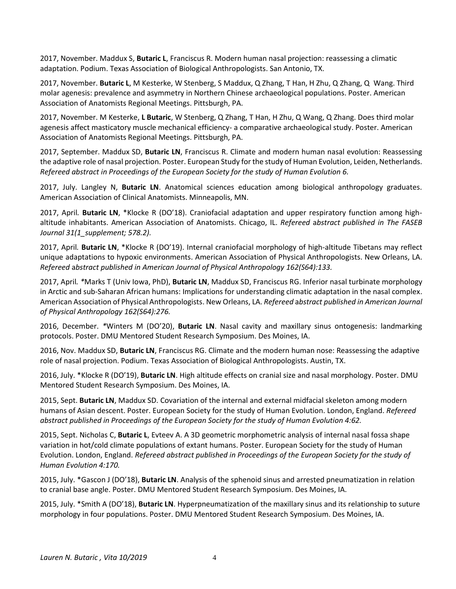2017, November. Maddux S, **Butaric L**, Franciscus R. Modern human nasal projection: reassessing a climatic adaptation. Podium. Texas Association of Biological Anthropologists. San Antonio, TX.

2017, November. **Butaric L**, M Kesterke, W Stenberg, S Maddux, Q Zhang, T Han, H Zhu, Q Zhang, Q Wang. Third molar agenesis: prevalence and asymmetry in Northern Chinese archaeological populations. Poster. American Association of Anatomists Regional Meetings. Pittsburgh, PA.

2017, November. M Kesterke, **L Butaric**, W Stenberg, Q Zhang, T Han, H Zhu, Q Wang, Q Zhang. Does third molar agenesis affect masticatory muscle mechanical efficiency- a comparative archaeological study. Poster. American Association of Anatomists Regional Meetings. Pittsburgh, PA.

2017, September. Maddux SD, **Butaric LN**, Franciscus R. Climate and modern human nasal evolution: Reassessing the adaptive role of nasal projection. Poster. European Study for the study of Human Evolution, Leiden, Netherlands. *Refereed abstract in Proceedings of the European Society for the study of Human Evolution 6.*

2017, July. Langley N, **Butaric LN**. Anatomical sciences education among biological anthropology graduates. American Association of Clinical Anatomists. Minneapolis, MN.

2017, April*.* **Butaric LN**, \*Klocke R (DO'18). Craniofacial adaptation and upper respiratory function among highaltitude inhabitants. American Association of Anatomists. Chicago, IL. *Refereed* a*bstract published in The FASEB Journal 31(1\_supplement; 578.2).*

2017, April*.* **Butaric LN**, \*Klocke R (DO'19). Internal craniofacial morphology of high-altitude Tibetans may reflect unique adaptations to hypoxic environments. American Association of Physical Anthropologists. New Orleans, LA. *Refereed* a*bstract published in American Journal of Physical Anthropology 162(S64):133.*

2017, April*. \**Marks T (Univ Iowa, PhD), **Butaric LN**, Maddux SD, Franciscus RG. Inferior nasal turbinate morphology in Arctic and sub-Saharan African humans: Implications for understanding climatic adaptation in the nasal complex. American Association of Physical Anthropologists. New Orleans, LA. *Refereed* a*bstract published in American Journal of Physical Anthropology 162(S64):276.*

2016, December. *\**Winters M (DO'20), **Butaric LN**. Nasal cavity and maxillary sinus ontogenesis: landmarking protocols. Poster. DMU Mentored Student Research Symposium. Des Moines, IA.

2016, Nov. Maddux SD, **Butaric LN**, Franciscus RG. Climate and the modern human nose: Reassessing the adaptive role of nasal projection. Podium. Texas Association of Biological Anthropologists. Austin, TX.

2016, July. \*Klocke R (DO'19), **Butaric LN**. High altitude effects on cranial size and nasal morphology. Poster. DMU Mentored Student Research Symposium. Des Moines, IA.

2015, Sept. **Butaric LN**, Maddux SD. Covariation of the internal and external midfacial skeleton among modern humans of Asian descent. Poster. European Society for the study of Human Evolution. London, England. *Refereed abstract published in Proceedings of the European Society for the study of Human Evolution 4:62.*

2015, Sept. Nicholas C, **Butaric L**, Evteev A. A 3D geometric morphometric analysis of internal nasal fossa shape variation in hot/cold climate populations of extant humans. Poster. European Society for the study of Human Evolution. London, England. *Refereed abstract published in Proceedings of the European Society for the study of Human Evolution 4:170.*

2015, July. \*Gascon J (DO'18), **Butaric LN**. Analysis of the sphenoid sinus and arrested pneumatization in relation to cranial base angle. Poster. DMU Mentored Student Research Symposium. Des Moines, IA.

2015, July. \*Smith A (DO'18), **Butaric LN**. Hyperpneumatization of the maxillary sinus and its relationship to suture morphology in four populations. Poster. DMU Mentored Student Research Symposium. Des Moines, IA.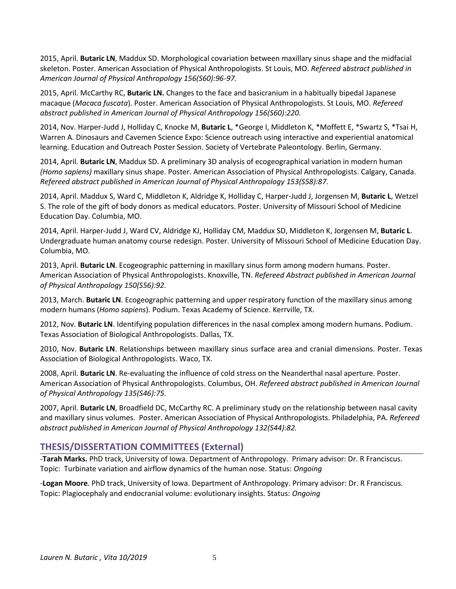2015, April. **Butaric LN**, Maddux SD. Morphological covariation between maxillary sinus shape and the midfacial skeleton. Poster. American Association of Physical Anthropologists. St Louis, MO. *Refereed* a*bstract published in American Journal of Physical Anthropology 156(S60):96-97.*

2015, April. McCarthy RC, **Butaric LN.** Changes to the face and basicranium in a habitually bipedal Japanese macaque (*Macaca fuscata*). Poster. American Association of Physical Anthropologists. St Louis, MO. *Refereed abstract published in American Journal of Physical Anthropology 156(S60):220.*

2014, Nov. Harper-Judd J, Holliday C, Knocke M, **Butaric L**, \*George I, Middleton K, \*Moffett E, \*Swartz S, \*Tsai H, Warren A. Dinosaurs and Cavemen Science Expo: Science outreach using interactive and experiential anatomical learning. Education and Outreach Poster Session. Society of Vertebrate Paleontology. Berlin, Germany.

2014, April. **Butaric LN**, Maddux SD. A preliminary 3D analysis of ecogeographical variation in modern human *(Homo sapiens)* maxillary sinus shape. Poster. American Association of Physical Anthropologists. Calgary, Canada. *Refereed abstract published in American Journal of Physical Anthropology 153(S58):87.*

2014, April. Maddux S, Ward C, Middleton K, Aldridge K, Holliday C, Harper-Judd J, Jorgensen M, **Butaric L**, Wetzel S. The role of the gift of body donors as medical educators. Poster. University of Missouri School of Medicine Education Day. Columbia, MO.

2014, April. Harper-Judd J, Ward CV, Aldridge KJ, Holliday CM, Maddux SD, Middleton K, Jorgensen M, **Butaric L**. Undergraduate human anatomy course redesign. Poster. University of Missouri School of Medicine Education Day. Columbia, MO.

2013, April. **Butaric LN**. Ecogeographic patterning in maxillary sinus form among modern humans. Poster. American Association of Physical Anthropologists. Knoxville, TN. *Refereed Abstract published in American Journal of Physical Anthropology 150(S56):92.*

2013, March. **Butaric LN**. Ecogeographic patterning and upper respiratory function of the maxillary sinus among modern humans (*Homo sapiens*). Podium. Texas Academy of Science. Kerrville, TX.

2012, Nov. **Butaric LN**. Identifying population differences in the nasal complex among modern humans. Podium. Texas Association of Biological Anthropologists. Dallas, TX.

2010, Nov. **Butaric LN**. Relationships between maxillary sinus surface area and cranial dimensions. Poster. Texas Association of Biological Anthropologists. Waco, TX.

2008, April. **Butaric LN**. Re-evaluating the influence of cold stress on the Neanderthal nasal aperture. Poster. American Association of Physical Anthropologists. Columbus, OH. *Refereed abstract published in American Journal of Physical Anthropology 135(S46):75.*

2007, April. **Butaric LN**, Broadfield DC, McCarthy RC. A preliminary study on the relationship between nasal cavity and maxillary sinus volumes. Poster. American Association of Physical Anthropologists. Philadelphia, PA. *Refereed abstract published in American Journal of Physical Anthropology 132(S44):82.*

# **THESIS/DISSERTATION COMMITTEES (External)**

-**Tarah Marks.** PhD track, University of Iowa. Department of Anthropology. Primary advisor: Dr. R Franciscus. Topic: Turbinate variation and airflow dynamics of the human nose. Status: *Ongoing*

-**Logan Moore**. PhD track, University of Iowa. Department of Anthropology. Primary advisor: Dr. R Franciscus. Topic: Plagiocephaly and endocranial volume: evolutionary insights. Status: *Ongoing*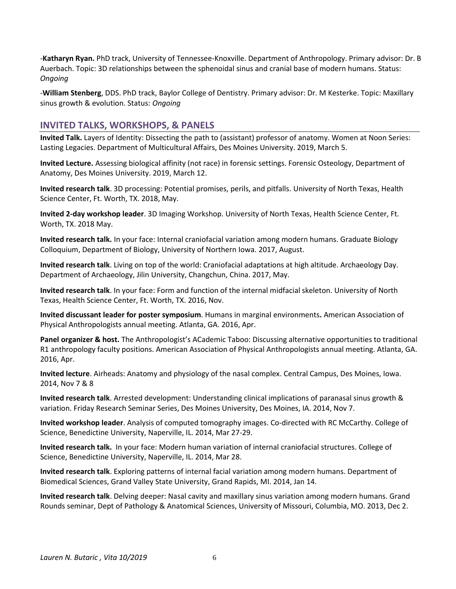-**Katharyn Ryan.** PhD track, University of Tennessee-Knoxville. Department of Anthropology. Primary advisor: Dr. B Auerbach. Topic: 3D relationships between the sphenoidal sinus and cranial base of modern humans. Status: *Ongoing*

-**William Stenberg**, DDS. PhD track, Baylor College of Dentistry. Primary advisor: Dr. M Kesterke. Topic: Maxillary sinus growth & evolution. Status: *Ongoing*

### **INVITED TALKS, WORKSHOPS, & PANELS**

**Invited Talk.** Layers of Identity: Dissecting the path to (assistant) professor of anatomy. Women at Noon Series: Lasting Legacies. Department of Multicultural Affairs, Des Moines University. 2019, March 5.

**Invited Lecture.** Assessing biological affinity (not race) in forensic settings. Forensic Osteology, Department of Anatomy, Des Moines University. 2019, March 12.

**Invited research talk**. 3D processing: Potential promises, perils, and pitfalls. University of North Texas, Health Science Center, Ft. Worth, TX. 2018, May.

**Invited 2-day workshop leader**. 3D Imaging Workshop. University of North Texas, Health Science Center, Ft. Worth, TX. 2018 May.

**Invited research talk.** In your face: Internal craniofacial variation among modern humans. Graduate Biology Colloquium, Department of Biology, University of Northern Iowa. 2017, August.

**Invited research talk**. Living on top of the world: Craniofacial adaptations at high altitude. Archaeology Day. Department of Archaeology, Jilin University, Changchun, China. 2017, May.

**Invited research talk**. In your face: Form and function of the internal midfacial skeleton. University of North Texas, Health Science Center, Ft. Worth, TX. 2016, Nov.

**Invited discussant leader for poster symposium**. Humans in marginal environments**.** American Association of Physical Anthropologists annual meeting. Atlanta, GA. 2016, Apr.

**Panel organizer & host.** The Anthropologist's ACademic Taboo: Discussing alternative opportunities to traditional R1 anthropology faculty positions. American Association of Physical Anthropologists annual meeting. Atlanta, GA. 2016, Apr.

**Invited lecture**. Airheads: Anatomy and physiology of the nasal complex. Central Campus, Des Moines, Iowa. 2014, Nov 7 & 8

**Invited research talk**. Arrested development: Understanding clinical implications of paranasal sinus growth & variation. Friday Research Seminar Series, Des Moines University, Des Moines, IA. 2014, Nov 7.

**Invited workshop leader**. Analysis of computed tomography images. Co-directed with RC McCarthy. College of Science, Benedictine University, Naperville, IL. 2014, Mar 27-29.

**Invited research talk.** In your face: Modern human variation of internal craniofacial structures. College of Science, Benedictine University, Naperville, IL. 2014, Mar 28.

**Invited research talk**. Exploring patterns of internal facial variation among modern humans. Department of Biomedical Sciences, Grand Valley State University, Grand Rapids, MI. 2014, Jan 14.

**Invited research talk**. Delving deeper: Nasal cavity and maxillary sinus variation among modern humans. Grand Rounds seminar, Dept of Pathology & Anatomical Sciences, University of Missouri, Columbia, MO. 2013, Dec 2.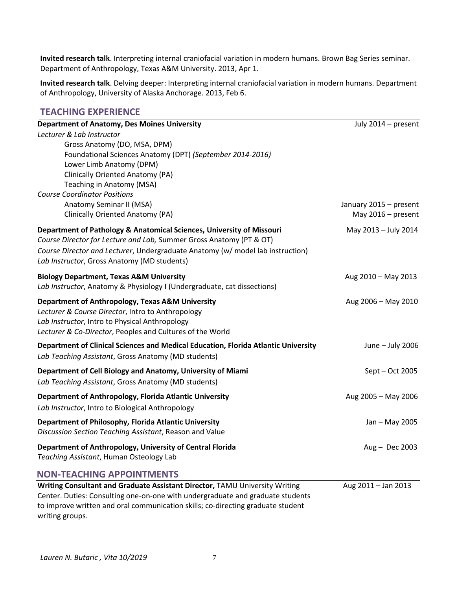**Invited research talk**. Interpreting internal craniofacial variation in modern humans. Brown Bag Series seminar. Department of Anthropology, Texas A&M University. 2013, Apr 1.

**Invited research talk**. Delving deeper: Interpreting internal craniofacial variation in modern humans. Department of Anthropology, University of Alaska Anchorage. 2013, Feb 6.

### **TEACHING EXPERIENCE**

| <b>Department of Anatomy, Des Moines University</b>                                | July 2014 - present                            |
|------------------------------------------------------------------------------------|------------------------------------------------|
| Lecturer & Lab Instructor                                                          |                                                |
| Gross Anatomy (DO, MSA, DPM)                                                       |                                                |
| Foundational Sciences Anatomy (DPT) (September 2014-2016)                          |                                                |
| Lower Limb Anatomy (DPM)                                                           |                                                |
| Clinically Oriented Anatomy (PA)                                                   |                                                |
| Teaching in Anatomy (MSA)                                                          |                                                |
| <b>Course Coordinator Positions</b><br>Anatomy Seminar II (MSA)                    |                                                |
| Clinically Oriented Anatomy (PA)                                                   | January 2015 - present<br>May $2016$ – present |
|                                                                                    |                                                |
| Department of Pathology & Anatomical Sciences, University of Missouri              | May 2013 - July 2014                           |
| Course Director for Lecture and Lab, Summer Gross Anatomy (PT & OT)                |                                                |
| Course Director and Lecturer, Undergraduate Anatomy (w/ model lab instruction)     |                                                |
| Lab Instructor, Gross Anatomy (MD students)                                        |                                                |
| <b>Biology Department, Texas A&amp;M University</b>                                | Aug 2010 - May 2013                            |
| Lab Instructor, Anatomy & Physiology I (Undergraduate, cat dissections)            |                                                |
| Department of Anthropology, Texas A&M University                                   | Aug 2006 - May 2010                            |
| Lecturer & Course Director, Intro to Anthropology                                  |                                                |
| Lab Instructor, Intro to Physical Anthropology                                     |                                                |
| Lecturer & Co-Director, Peoples and Cultures of the World                          |                                                |
| Department of Clinical Sciences and Medical Education, Florida Atlantic University | June - July 2006                               |
| Lab Teaching Assistant, Gross Anatomy (MD students)                                |                                                |
|                                                                                    |                                                |
| Department of Cell Biology and Anatomy, University of Miami                        | Sept - Oct 2005                                |
| Lab Teaching Assistant, Gross Anatomy (MD students)                                |                                                |
| <b>Department of Anthropology, Florida Atlantic University</b>                     | Aug 2005 - May 2006                            |
| Lab Instructor, Intro to Biological Anthropology                                   |                                                |
| Department of Philosophy, Florida Atlantic University                              | Jan - May 2005                                 |
| Discussion Section Teaching Assistant, Reason and Value                            |                                                |
| Department of Anthropology, University of Central Florida                          | Aug - Dec 2003                                 |
| Teaching Assistant, Human Osteology Lab                                            |                                                |
| <b>NON-TEACHING APPOINTMENTS</b>                                                   |                                                |
| Writing Consultant and Graduate Assistant Director, TAMU University Writing        | Aug 2011 - Jan 2013                            |
| Center. Duties: Consulting one-on-one with undergraduate and graduate students     |                                                |
| to improve written and oral communication skills; co-directing graduate student    |                                                |

writing groups.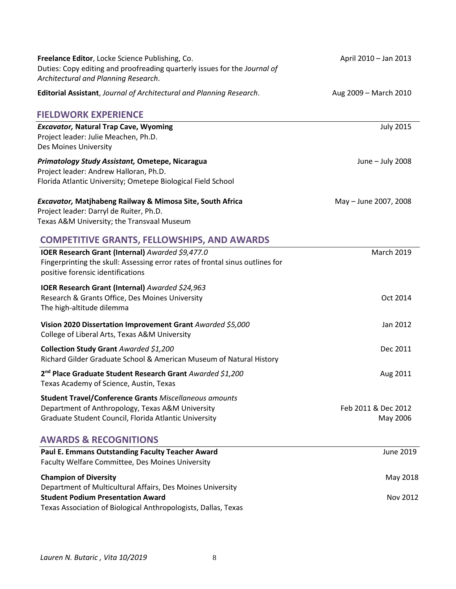| Freelance Editor, Locke Science Publishing, Co.<br>Duties: Copy editing and proofreading quarterly issues for the Journal of<br>Architectural and Planning Research.       | April 2010 - Jan 2013           |
|----------------------------------------------------------------------------------------------------------------------------------------------------------------------------|---------------------------------|
| Editorial Assistant, Journal of Architectural and Planning Research.                                                                                                       | Aug 2009 - March 2010           |
| <b>FIELDWORK EXPERIENCE</b>                                                                                                                                                |                                 |
| <b>Excavator, Natural Trap Cave, Wyoming</b><br>Project leader: Julie Meachen, Ph.D.<br>Des Moines University                                                              | <b>July 2015</b>                |
| Primatology Study Assistant, Ometepe, Nicaragua<br>Project leader: Andrew Halloran, Ph.D.<br>Florida Atlantic University; Ometepe Biological Field School                  | June - July 2008                |
| <b>Excavator, Matjhabeng Railway &amp; Mimosa Site, South Africa</b><br>Project leader: Darryl de Ruiter, Ph.D.<br>Texas A&M University; the Transvaal Museum              | May - June 2007, 2008           |
| <b>COMPETITIVE GRANTS, FELLOWSHIPS, AND AWARDS</b>                                                                                                                         |                                 |
| IOER Research Grant (Internal) Awarded \$9,477.0<br>Fingerprinting the skull: Assessing error rates of frontal sinus outlines for<br>positive forensic identifications     | <b>March 2019</b>               |
| <b>IOER Research Grant (Internal)</b> Awarded \$24,963<br>Research & Grants Office, Des Moines University<br>The high-altitude dilemma                                     | Oct 2014                        |
| Vision 2020 Dissertation Improvement Grant Awarded \$5,000<br>College of Liberal Arts, Texas A&M University                                                                | Jan 2012                        |
| Collection Study Grant Awarded \$1,200<br>Richard Gilder Graduate School & American Museum of Natural History                                                              | Dec 2011                        |
| 2 <sup>nd</sup> Place Graduate Student Research Grant Awarded \$1,200<br>Texas Academy of Science, Austin, Texas                                                           | Aug 2011                        |
| <b>Student Travel/Conference Grants Miscellaneous amounts</b><br>Department of Anthropology, Texas A&M University<br>Graduate Student Council, Florida Atlantic University | Feb 2011 & Dec 2012<br>May 2006 |
| <b>AWARDS &amp; RECOGNITIONS</b>                                                                                                                                           |                                 |
| Paul E. Emmans Outstanding Faculty Teacher Award<br>Faculty Welfare Committee, Des Moines University                                                                       | June 2019                       |
| <b>Champion of Diversity</b><br>Department of Multicultural Affairs, Des Moines University<br><b>Student Podium Presentation Award</b>                                     | May 2018<br>Nov 2012            |
| Texas Association of Biological Anthropologists, Dallas, Texas                                                                                                             |                                 |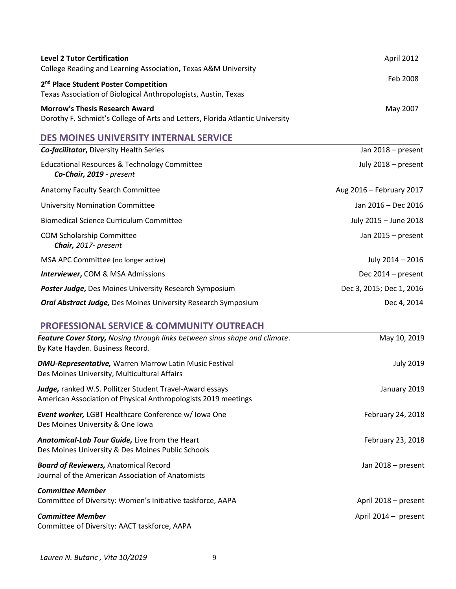| <b>Level 2 Tutor Certification</b><br>College Reading and Learning Association, Texas A&M University                   | April 2012 |
|------------------------------------------------------------------------------------------------------------------------|------------|
| 2 <sup>nd</sup> Place Student Poster Competition<br>Texas Association of Biological Anthropologists, Austin, Texas     | Feb 2008   |
| <b>Morrow's Thesis Research Award</b><br>Dorothy F. Schmidt's College of Arts and Letters, Florida Atlantic University | May 2007   |

# **DES MOINES UNIVERSITY INTERNAL SERVICE**

| <b>Co-facilitator, Diversity Health Series</b>                           | Jan 2018 - present       |
|--------------------------------------------------------------------------|--------------------------|
| Educational Resources & Technology Committee<br>Co-Chair, 2019 - present | July 2018 - present      |
| Anatomy Faculty Search Committee                                         | Aug 2016 - February 2017 |
| <b>University Nomination Committee</b>                                   | Jan 2016 – Dec 2016      |
| <b>Biomedical Science Curriculum Committee</b>                           | July 2015 - June 2018    |
| <b>COM Scholarship Committee</b><br>Chair, 2017- present                 | Jan $2015$ – present     |
| MSA APC Committee (no longer active)                                     | July 2014 - 2016         |
| <b>Interviewer, COM &amp; MSA Admissions</b>                             | Dec $2014$ – present     |
| Poster Judge, Des Moines University Research Symposium                   | Dec 3, 2015; Dec 1, 2016 |
| <b>Oral Abstract Judge, Des Moines University Research Symposium</b>     | Dec 4, 2014              |

# **PROFESSIONAL SERVICE & COMMUNITY OUTREACH**

| Feature Cover Story, Nosing through links between sinus shape and climate.<br>By Kate Hayden. Business Record.             | May 10, 2019         |
|----------------------------------------------------------------------------------------------------------------------------|----------------------|
| <b>DMU-Representative, Warren Marrow Latin Music Festival</b><br>Des Moines University, Multicultural Affairs              | <b>July 2019</b>     |
| Judge, ranked W.S. Pollitzer Student Travel-Award essays<br>American Association of Physical Anthropologists 2019 meetings | January 2019         |
| <b>Event worker, LGBT Healthcare Conference w/ Iowa One</b><br>Des Moines University & One Iowa                            | February 24, 2018    |
| Anatomical-Lab Tour Guide, Live from the Heart<br>Des Moines University & Des Moines Public Schools                        | February 23, 2018    |
| <b>Board of Reviewers, Anatomical Record</b><br>Journal of the American Association of Anatomists                          | Jan 2018 – present   |
| <b>Committee Member</b><br>Committee of Diversity: Women's Initiative taskforce, AAPA                                      | April 2018 – present |
| <b>Committee Member</b><br>Committee of Diversity: AACT taskforce, AAPA                                                    | April 2014 - present |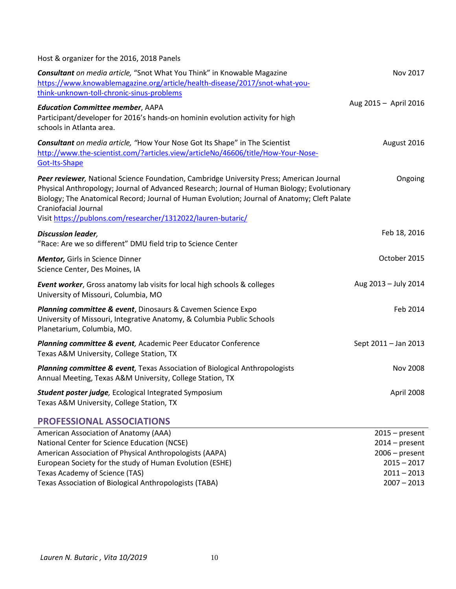Host & organizer for the 2016, 2018 Panels

| Consultant on media article, "Snot What You Think" in Knowable Magazine<br>https://www.knowablemagazine.org/article/health-disease/2017/snot-what-you-                                                                                                                                                                                                                          | Nov 2017                           |
|---------------------------------------------------------------------------------------------------------------------------------------------------------------------------------------------------------------------------------------------------------------------------------------------------------------------------------------------------------------------------------|------------------------------------|
| think-unknown-toll-chronic-sinus-problems<br><b>Education Committee member, AAPA</b><br>Participant/developer for 2016's hands-on hominin evolution activity for high<br>schools in Atlanta area.                                                                                                                                                                               | Aug 2015 - April 2016              |
| Consultant on media article, "How Your Nose Got Its Shape" in The Scientist<br>http://www.the-scientist.com/?articles.view/articleNo/46606/title/How-Your-Nose-<br>Got-Its-Shape                                                                                                                                                                                                | August 2016                        |
| Peer reviewer, National Science Foundation, Cambridge University Press; American Journal<br>Physical Anthropology; Journal of Advanced Research; Journal of Human Biology; Evolutionary<br>Biology; The Anatomical Record; Journal of Human Evolution; Journal of Anatomy; Cleft Palate<br>Craniofacial Journal<br>Visit https://publons.com/researcher/1312022/lauren-butaric/ | Ongoing                            |
| <b>Discussion leader,</b><br>"Race: Are we so different" DMU field trip to Science Center                                                                                                                                                                                                                                                                                       | Feb 18, 2016                       |
| Mentor, Girls in Science Dinner<br>Science Center, Des Moines, IA                                                                                                                                                                                                                                                                                                               | October 2015                       |
| <b>Event worker</b> , Gross anatomy lab visits for local high schools & colleges<br>University of Missouri, Columbia, MO                                                                                                                                                                                                                                                        | Aug 2013 - July 2014               |
| Planning committee & event, Dinosaurs & Cavemen Science Expo<br>University of Missouri, Integrative Anatomy, & Columbia Public Schools<br>Planetarium, Columbia, MO.                                                                                                                                                                                                            | Feb 2014                           |
| Planning committee & event, Academic Peer Educator Conference<br>Texas A&M University, College Station, TX                                                                                                                                                                                                                                                                      | Sept 2011 - Jan 2013               |
| Planning committee & event, Texas Association of Biological Anthropologists<br>Annual Meeting, Texas A&M University, College Station, TX                                                                                                                                                                                                                                        | <b>Nov 2008</b>                    |
| Student poster judge, Ecological Integrated Symposium<br>Texas A&M University, College Station, TX                                                                                                                                                                                                                                                                              | April 2008                         |
| <b>PROFESSIONAL ASSOCIATIONS</b>                                                                                                                                                                                                                                                                                                                                                |                                    |
| American Association of Anatomy (AAA)<br>National Contor for Science Education (NCSE)                                                                                                                                                                                                                                                                                           | $2015 - present$<br>$2011$ procent |

| Allielicali Association of Anatolity (AAA)               | $2013 - 1055111$ |
|----------------------------------------------------------|------------------|
| National Center for Science Education (NCSE)             | $2014$ – present |
| American Association of Physical Anthropologists (AAPA)  | $2006$ – present |
| European Society for the study of Human Evolution (ESHE) | $2015 - 2017$    |
| Texas Academy of Science (TAS)                           | $2011 - 2013$    |
| Texas Association of Biological Anthropologists (TABA)   | $2007 - 2013$    |
|                                                          |                  |